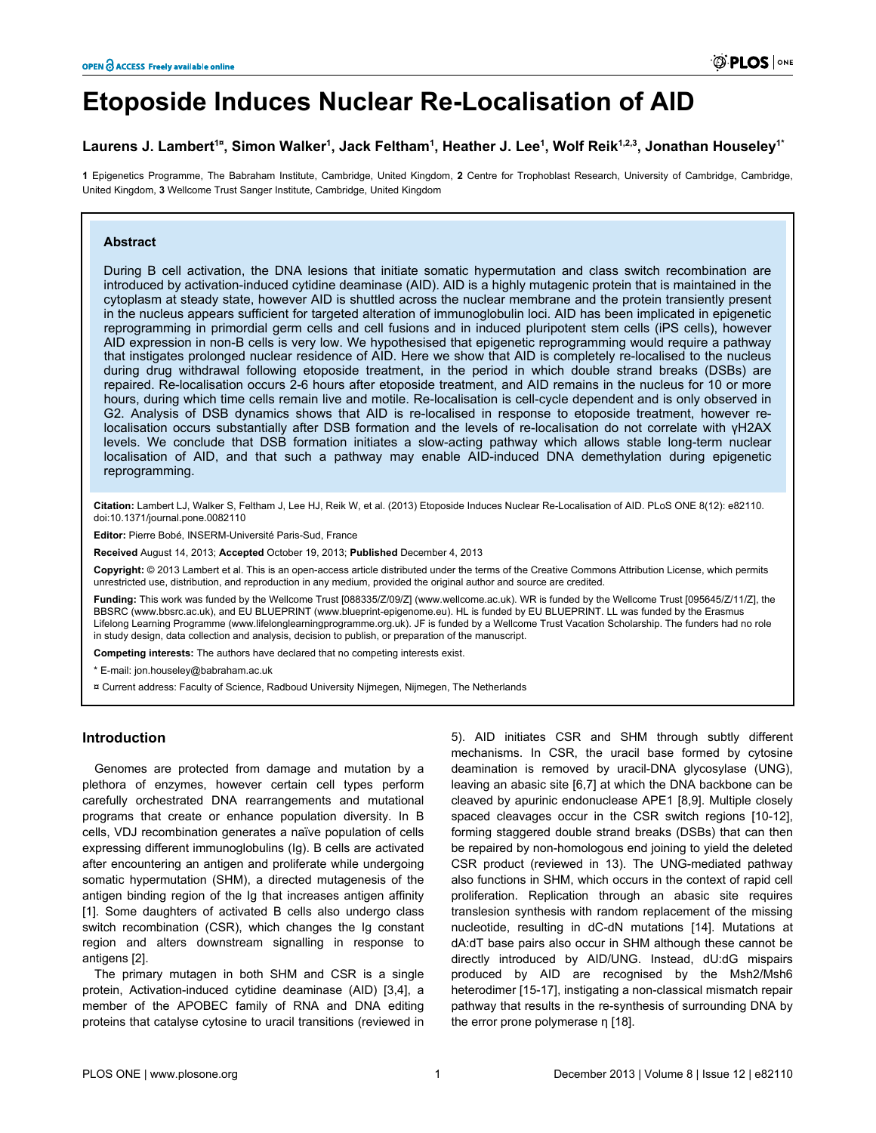# **Etoposide Induces Nuclear Re-Localisation of AID**

## $\blacksquare$ Laurens J. Lambertʿ¤, Simon Walkerʿ, Jack Felthamʿ, Heather J. Leeʿ, Wolf Reikʿʲ.<sup>2,3</sup>, Jonathan Houseleyʿ $^*$

**1** Epigenetics Programme, The Babraham Institute, Cambridge, United Kingdom, **2** Centre for Trophoblast Research, University of Cambridge, Cambridge, United Kingdom, **3** Wellcome Trust Sanger Institute, Cambridge, United Kingdom

## **Abstract**

During B cell activation, the DNA lesions that initiate somatic hypermutation and class switch recombination are introduced by activation-induced cytidine deaminase (AID). AID is a highly mutagenic protein that is maintained in the cytoplasm at steady state, however AID is shuttled across the nuclear membrane and the protein transiently present in the nucleus appears sufficient for targeted alteration of immunoglobulin loci. AID has been implicated in epigenetic reprogramming in primordial germ cells and cell fusions and in induced pluripotent stem cells (iPS cells), however AID expression in non-B cells is very low. We hypothesised that epigenetic reprogramming would require a pathway that instigates prolonged nuclear residence of AID. Here we show that AID is completely re-localised to the nucleus during drug withdrawal following etoposide treatment, in the period in which double strand breaks (DSBs) are repaired. Re-localisation occurs 2-6 hours after etoposide treatment, and AID remains in the nucleus for 10 or more hours, during which time cells remain live and motile. Re-localisation is cell-cycle dependent and is only observed in G2. Analysis of DSB dynamics shows that AID is re-localised in response to etoposide treatment, however relocalisation occurs substantially after DSB formation and the levels of re-localisation do not correlate with γH2AX levels. We conclude that DSB formation initiates a slow-acting pathway which allows stable long-term nuclear localisation of AID, and that such a pathway may enable AID-induced DNA demethylation during epigenetic reprogramming.

**Citation:** Lambert LJ, Walker S, Feltham J, Lee HJ, Reik W, et al. (2013) Etoposide Induces Nuclear Re-Localisation of AID. PLoS ONE 8(12): e82110. doi:10.1371/journal.pone.0082110

**Editor:** Pierre Bobé, INSERM-Université Paris-Sud, France

**Received** August 14, 2013; **Accepted** October 19, 2013; **Published** December 4, 2013

**Copyright:** © 2013 Lambert et al. This is an open-access article distributed under the terms of the [Creative Commons Attribution License,](http://creativecommons.org/licenses/by/3.0/) which permits unrestricted use, distribution, and reproduction in any medium, provided the original author and source are credited.

**Funding:** This work was funded by the Wellcome Trust [088335/Z/09/Z] [\(www.wellcome.ac.uk](http://www.wellcome.ac.uk)). WR is funded by the Wellcome Trust [095645/Z/11/Z], the BBSRC ([www.bbsrc.ac.uk\)](http://www.bbsrc.ac.uk), and EU BLUEPRINT ([www.blueprint-epigenome.eu\)](http://www.blueprint-epigenome.eu). HL is funded by EU BLUEPRINT. LL was funded by the Erasmus Lifelong Learning Programme [\(www.lifelonglearningprogramme.org.uk](http://www.lifelonglearningprogramme.org.uk)). JF is funded by a Wellcome Trust Vacation Scholarship. The funders had no role in study design, data collection and analysis, decision to publish, or preparation of the manuscript.

**Competing interests:** The authors have declared that no competing interests exist.

\* E-mail: jon.houseley@babraham.ac.uk

¤ Current address: Faculty of Science, Radboud University Nijmegen, Nijmegen, The Netherlands

## **Introduction**

Genomes are protected from damage and mutation by a plethora of enzymes, however certain cell types perform carefully orchestrated DNA rearrangements and mutational programs that create or enhance population diversity. In B cells, VDJ recombination generates a naïve population of cells expressing different immunoglobulins (Ig). B cells are activated after encountering an antigen and proliferate while undergoing somatic hypermutation (SHM), a directed mutagenesis of the antigen binding region of the Ig that increases antigen affinity [[1\]](#page-8-0). Some daughters of activated B cells also undergo class switch recombination (CSR), which changes the Ig constant region and alters downstream signalling in response to antigens [\[2](#page-8-0)].

The primary mutagen in both SHM and CSR is a single protein, Activation-induced cytidine deaminase (AID) [[3](#page-8-0),[4\]](#page-8-0), a member of the APOBEC family of RNA and DNA editing proteins that catalyse cytosine to uracil transitions (reviewed in

[5](#page-8-0)). AID initiates CSR and SHM through subtly different mechanisms. In CSR, the uracil base formed by cytosine deamination is removed by uracil-DNA glycosylase (UNG), leaving an abasic site [[6,7\]](#page-8-0) at which the DNA backbone can be cleaved by apurinic endonuclease APE1 [\[8,9](#page-8-0)]. Multiple closely spaced cleavages occur in the CSR switch regions [[10-12\]](#page-9-0), forming staggered double strand breaks (DSBs) that can then be repaired by non-homologous end joining to yield the deleted CSR product (reviewed in [13\)](#page-9-0). The UNG-mediated pathway also functions in SHM, which occurs in the context of rapid cell proliferation. Replication through an abasic site requires translesion synthesis with random replacement of the missing nucleotide, resulting in dC-dN mutations [[14](#page-9-0)]. Mutations at dA:dT base pairs also occur in SHM although these cannot be directly introduced by AID/UNG. Instead, dU:dG mispairs produced by AID are recognised by the Msh2/Msh6 heterodimer [[15](#page-9-0)-[17](#page-9-0)], instigating a non-classical mismatch repair pathway that results in the re-synthesis of surrounding DNA by the error prone polymerase η [[18](#page-9-0)].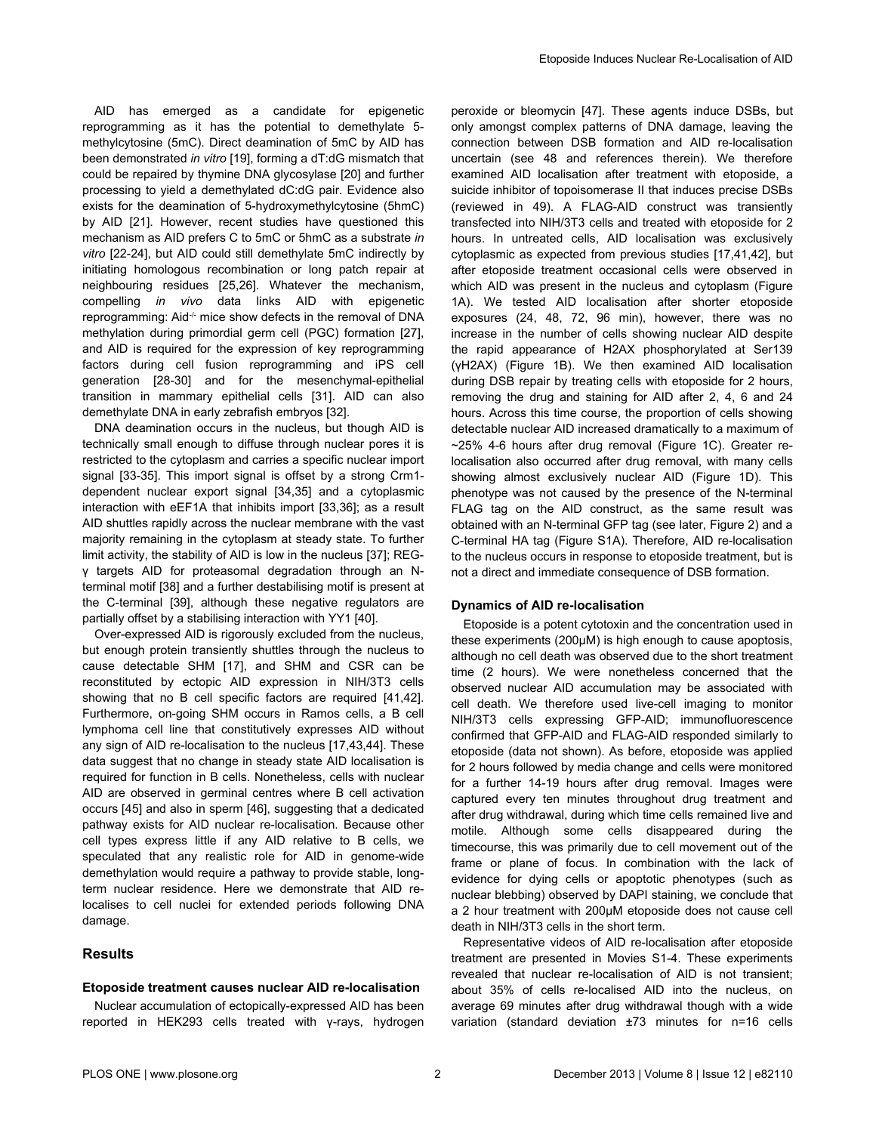AID has emerged as a candidate for epigenetic reprogramming as it has the potential to demethylate 5 methylcytosine (5mC). Direct deamination of 5mC by AID has been demonstrated *in vitro* [\[19\]](#page-9-0), forming a dT:dG mismatch that could be repaired by thymine DNA glycosylase [[20\]](#page-9-0) and further processing to yield a demethylated dC:dG pair. Evidence also exists for the deamination of 5-hydroxymethylcytosine (5hmC) by AID [[21](#page-9-0)]. However, recent studies have questioned this mechanism as AID prefers C to 5mC or 5hmC as a substrate *in vitro* [\[22-24\]](#page-9-0), but AID could still demethylate 5mC indirectly by initiating homologous recombination or long patch repair at neighbouring residues [\[25,26\]](#page-9-0). Whatever the mechanism, compelling *in vivo* data links AID with epigenetic reprogramming: Aid<sup>-/-</sup> mice show defects in the removal of DNA methylation during primordial germ cell (PGC) formation [\[27\]](#page-9-0), and AID is required for the expression of key reprogramming factors during cell fusion reprogramming and iPS cell generation [[28](#page-9-0)-[30](#page-9-0)] and for the mesenchymal-epithelial transition in mammary epithelial cells [\[31\]](#page-9-0). AID can also demethylate DNA in early zebrafish embryos [[32\]](#page-9-0).

DNA deamination occurs in the nucleus, but though AID is technically small enough to diffuse through nuclear pores it is restricted to the cytoplasm and carries a specific nuclear import signal [[33-35\]](#page-9-0). This import signal is offset by a strong Crm1 dependent nuclear export signal [\[34,35\]](#page-9-0) and a cytoplasmic interaction with eEF1A that inhibits import [[33,36\]](#page-9-0); as a result AID shuttles rapidly across the nuclear membrane with the vast majority remaining in the cytoplasm at steady state. To further limit activity, the stability of AID is low in the nucleus [[37](#page-9-0)]; REGγ targets AID for proteasomal degradation through an Nterminal motif [[38](#page-9-0)] and a further destabilising motif is present at the C-terminal [\[39\]](#page-9-0), although these negative regulators are partially offset by a stabilising interaction with YY1 [\[40\]](#page-9-0).

Over-expressed AID is rigorously excluded from the nucleus, but enough protein transiently shuttles through the nucleus to cause detectable SHM [\[17\]](#page-9-0), and SHM and CSR can be reconstituted by ectopic AID expression in NIH/3T3 cells showing that no B cell specific factors are required [[41,42\]](#page-9-0). Furthermore, on-going SHM occurs in Ramos cells, a B cell lymphoma cell line that constitutively expresses AID without any sign of AID re-localisation to the nucleus [\[17,43,44](#page-9-0)]. These data suggest that no change in steady state AID localisation is required for function in B cells. Nonetheless, cells with nuclear AID are observed in germinal centres where B cell activation occurs [[45](#page-9-0)] and also in sperm [[46](#page-9-0)], suggesting that a dedicated pathway exists for AID nuclear re-localisation. Because other cell types express little if any AID relative to B cells, we speculated that any realistic role for AID in genome-wide demethylation would require a pathway to provide stable, longterm nuclear residence. Here we demonstrate that AID relocalises to cell nuclei for extended periods following DNA damage.

## **Results**

#### **Etoposide treatment causes nuclear AID re-localisation**

Nuclear accumulation of ectopically-expressed AID has been reported in HEK293 cells treated with γ-rays, hydrogen peroxide or bleomycin [[47](#page-9-0)]. These agents induce DSBs, but only amongst complex patterns of DNA damage, leaving the connection between DSB formation and AID re-localisation uncertain (see [48](#page-9-0) and references therein). We therefore examined AID localisation after treatment with etoposide, a suicide inhibitor of topoisomerase II that induces precise DSBs (reviewed in [49](#page-10-0)). A FLAG-AID construct was transiently transfected into NIH/3T3 cells and treated with etoposide for 2 hours. In untreated cells, AID localisation was exclusively cytoplasmic as expected from previous studies [\[17,41,42\]](#page-9-0), but after etoposide treatment occasional cells were observed in which AID was present in the nucleus and cytoplasm [\(Figure](#page-2-0) [1A\)](#page-2-0). We tested AID localisation after shorter etoposide exposures (24, 48, 72, 96 min), however, there was no increase in the number of cells showing nuclear AID despite the rapid appearance of H2AX phosphorylated at Ser139 (γH2AX) [\(Figure 1B\)](#page-2-0). We then examined AID localisation during DSB repair by treating cells with etoposide for 2 hours, removing the drug and staining for AID after 2, 4, 6 and 24 hours. Across this time course, the proportion of cells showing detectable nuclear AID increased dramatically to a maximum of ~25% 4-6 hours after drug removal ([Figure 1C\)](#page-2-0). Greater relocalisation also occurred after drug removal, with many cells showing almost exclusively nuclear AID ([Figure 1D](#page-2-0)). This phenotype was not caused by the presence of the N-terminal FLAG tag on the AID construct, as the same result was obtained with an N-terminal GFP tag (see later, [Figure 2\)](#page-3-0) and a C-terminal HA tag ([Figure S1A\)](#page-8-0). Therefore, AID re-localisation to the nucleus occurs in response to etoposide treatment, but is not a direct and immediate consequence of DSB formation.

## **Dynamics of AID re-localisation**

Etoposide is a potent cytotoxin and the concentration used in these experiments (200µM) is high enough to cause apoptosis, although no cell death was observed due to the short treatment time (2 hours). We were nonetheless concerned that the observed nuclear AID accumulation may be associated with cell death. We therefore used live-cell imaging to monitor NIH/3T3 cells expressing GFP-AID; immunofluorescence confirmed that GFP-AID and FLAG-AID responded similarly to etoposide (data not shown). As before, etoposide was applied for 2 hours followed by media change and cells were monitored for a further 14-19 hours after drug removal. Images were captured every ten minutes throughout drug treatment and after drug withdrawal, during which time cells remained live and motile. Although some cells disappeared during the timecourse, this was primarily due to cell movement out of the frame or plane of focus. In combination with the lack of evidence for dying cells or apoptotic phenotypes (such as nuclear blebbing) observed by DAPI staining, we conclude that a 2 hour treatment with 200µM etoposide does not cause cell death in NIH/3T3 cells in the short term.

Representative videos of AID re-localisation after etoposide treatment are presented in [Movies S1](#page-8-0)-4. These experiments revealed that nuclear re-localisation of AID is not transient; about 35% of cells re-localised AID into the nucleus, on average 69 minutes after drug withdrawal though with a wide variation (standard deviation ±73 minutes for n=16 cells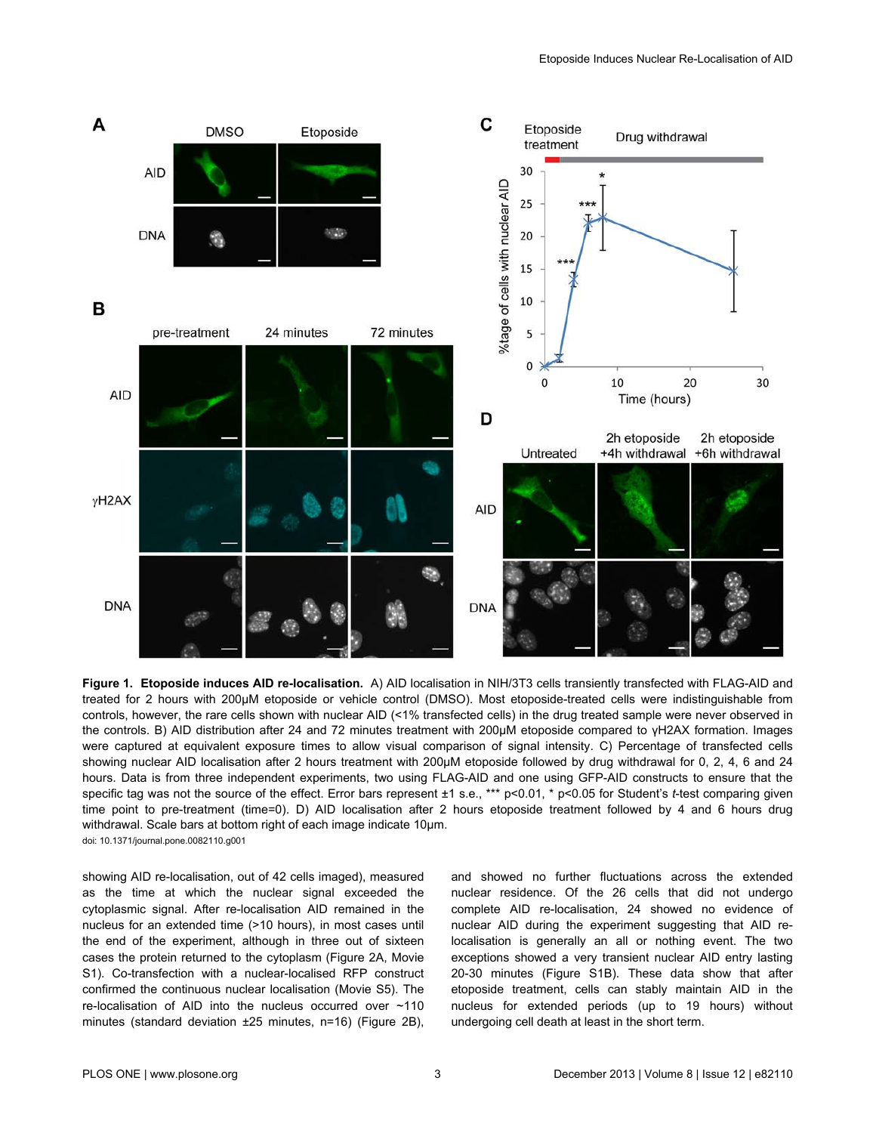<span id="page-2-0"></span>

**Figure 1. Etoposide induces AID re-localisation.** A) AID localisation in NIH/3T3 cells transiently transfected with FLAG-AID and treated for 2 hours with 200µM etoposide or vehicle control (DMSO). Most etoposide-treated cells were indistinguishable from controls, however, the rare cells shown with nuclear AID (<1% transfected cells) in the drug treated sample were never observed in the controls. B) AID distribution after 24 and 72 minutes treatment with 200µM etoposide compared to γH2AX formation. Images were captured at equivalent exposure times to allow visual comparison of signal intensity. C) Percentage of transfected cells showing nuclear AID localisation after 2 hours treatment with 200µM etoposide followed by drug withdrawal for 0, 2, 4, 6 and 24 hours. Data is from three independent experiments, two using FLAG-AID and one using GFP-AID constructs to ensure that the specific tag was not the source of the effect. Error bars represent ±1 s.e., \*\*\* p<0.01, \* p<0.05 for Student's *t*-test comparing given time point to pre-treatment (time=0). D) AID localisation after 2 hours etoposide treatment followed by 4 and 6 hours drug withdrawal. Scale bars at bottom right of each image indicate 10µm. doi: 10.1371/journal.pone.0082110.g001

showing AID re-localisation, out of 42 cells imaged), measured as the time at which the nuclear signal exceeded the cytoplasmic signal. After re-localisation AID remained in the nucleus for an extended time (>10 hours), in most cases until the end of the experiment, although in three out of sixteen cases the protein returned to the cytoplasm ([Figure 2A](#page-3-0), [Movie](#page-8-0) [S1\)](#page-8-0). Co-transfection with a nuclear-localised RFP construct confirmed the continuous nuclear localisation ([Movie S5](#page-8-0)). The re-localisation of AID into the nucleus occurred over ~110 minutes (standard deviation ±25 minutes, n=16) ([Figure 2B](#page-3-0)),

and showed no further fluctuations across the extended nuclear residence. Of the 26 cells that did not undergo complete AID re-localisation, 24 showed no evidence of nuclear AID during the experiment suggesting that AID relocalisation is generally an all or nothing event. The two exceptions showed a very transient nuclear AID entry lasting 20-30 minutes ([Figure S1B\)](#page-8-0). These data show that after etoposide treatment, cells can stably maintain AID in the nucleus for extended periods (up to 19 hours) without undergoing cell death at least in the short term.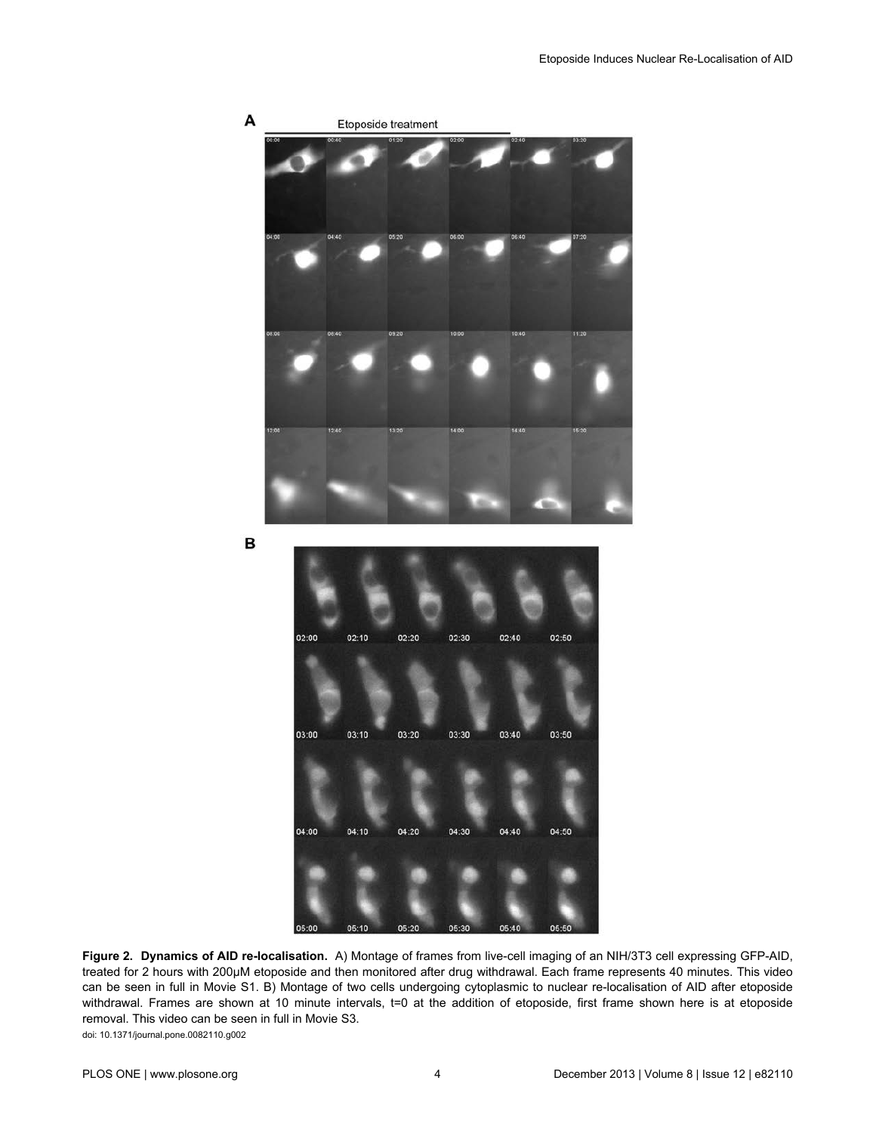<span id="page-3-0"></span>

**Figure 2. Dynamics of AID re-localisation.** A) Montage of frames from live-cell imaging of an NIH/3T3 cell expressing GFP-AID, treated for 2 hours with 200µM etoposide and then monitored after drug withdrawal. Each frame represents 40 minutes. This video can be seen in full in [Movie S1.](#page-8-0) B) Montage of two cells undergoing cytoplasmic to nuclear re-localisation of AID after etoposide withdrawal. Frames are shown at 10 minute intervals, t=0 at the addition of etoposide, first frame shown here is at etoposide removal. This video can be seen in full in [Movie S3.](#page-8-0) doi: 10.1371/journal.pone.0082110.g002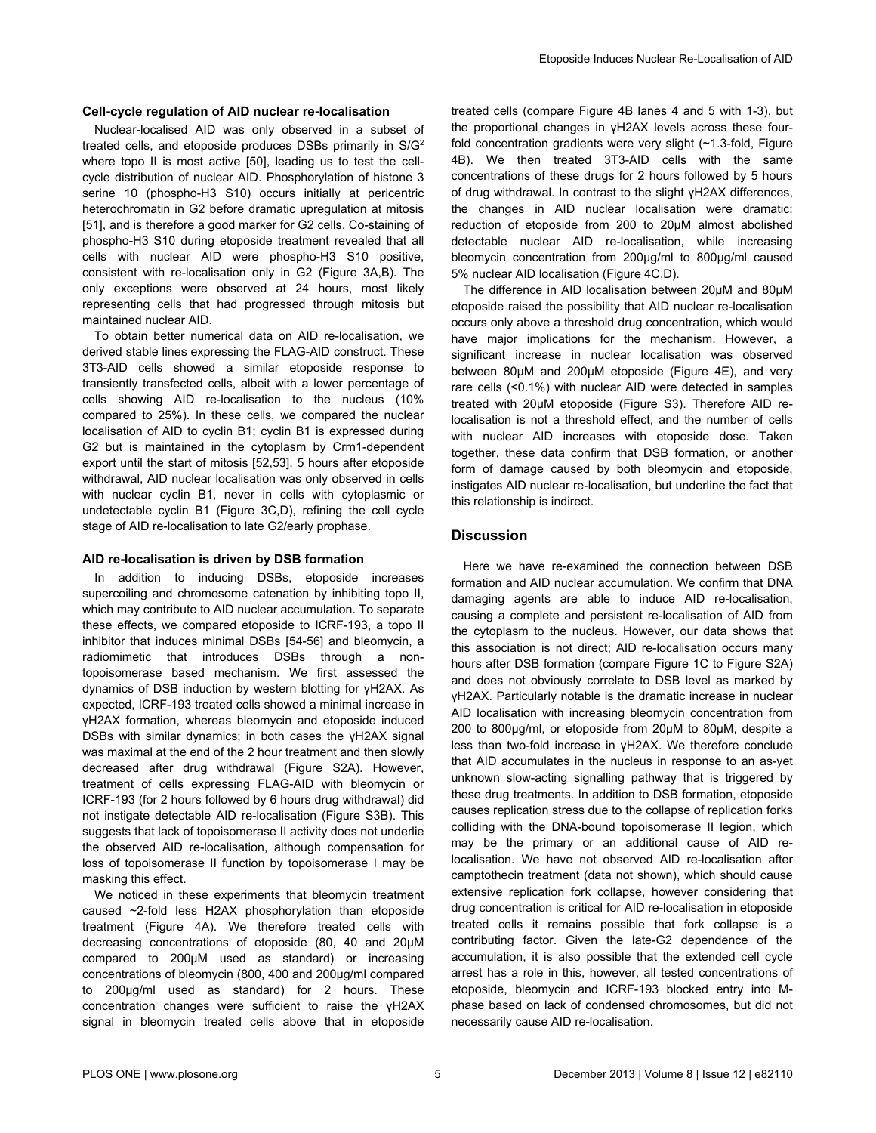## **Cell-cycle regulation of AID nuclear re-localisation**

Nuclear-localised AID was only observed in a subset of treated cells, and etoposide produces DSBs primarily in S/G<sup>2</sup> where topo II is most active [\[50\]](#page-10-0), leading us to test the cellcycle distribution of nuclear AID. Phosphorylation of histone 3 serine 10 (phospho-H3 S10) occurs initially at pericentric heterochromatin in G2 before dramatic upregulation at mitosis [[51](#page-10-0)], and is therefore a good marker for G2 cells. Co-staining of phospho-H3 S10 during etoposide treatment revealed that all cells with nuclear AID were phospho-H3 S10 positive, consistent with re-localisation only in G2 ([Figure 3A,B](#page-5-0)). The only exceptions were observed at 24 hours, most likely representing cells that had progressed through mitosis but maintained nuclear AID.

To obtain better numerical data on AID re-localisation, we derived stable lines expressing the FLAG-AID construct. These 3T3-AID cells showed a similar etoposide response to transiently transfected cells, albeit with a lower percentage of cells showing AID re-localisation to the nucleus (10% compared to 25%). In these cells, we compared the nuclear localisation of AID to cyclin B1; cyclin B1 is expressed during G2 but is maintained in the cytoplasm by Crm1-dependent export until the start of mitosis [[52](#page-10-0),[53](#page-10-0)]. 5 hours after etoposide withdrawal, AID nuclear localisation was only observed in cells with nuclear cyclin B1, never in cells with cytoplasmic or undetectable cyclin B1 ([Figure 3C,D\)](#page-5-0), refining the cell cycle stage of AID re-localisation to late G2/early prophase.

#### **AID re-localisation is driven by DSB formation**

In addition to inducing DSBs, etoposide increases supercoiling and chromosome catenation by inhibiting topo II, which may contribute to AID nuclear accumulation. To separate these effects, we compared etoposide to ICRF-193, a topo II inhibitor that induces minimal DSBs [\[54-56\]](#page-10-0) and bleomycin, a radiomimetic that introduces DSBs through a nontopoisomerase based mechanism. We first assessed the dynamics of DSB induction by western blotting for γH2AX. As expected, ICRF-193 treated cells showed a minimal increase in γH2AX formation, whereas bleomycin and etoposide induced DSBs with similar dynamics; in both cases the γH2AX signal was maximal at the end of the 2 hour treatment and then slowly decreased after drug withdrawal ([Figure S2A\)](#page-8-0). However, treatment of cells expressing FLAG-AID with bleomycin or ICRF-193 (for 2 hours followed by 6 hours drug withdrawal) did not instigate detectable AID re-localisation ([Figure S3B\)](#page-8-0). This suggests that lack of topoisomerase II activity does not underlie the observed AID re-localisation, although compensation for loss of topoisomerase II function by topoisomerase I may be masking this effect.

We noticed in these experiments that bleomycin treatment caused ~2-fold less H2AX phosphorylation than etoposide treatment [\(Figure 4A\)](#page-6-0). We therefore treated cells with decreasing concentrations of etoposide (80, 40 and 20µM compared to 200µM used as standard) or increasing concentrations of bleomycin (800, 400 and 200µg/ml compared to 200µg/ml used as standard) for 2 hours. These concentration changes were sufficient to raise the γH2AX signal in bleomycin treated cells above that in etoposide

treated cells (compare [Figure 4B](#page-6-0) lanes 4 and 5 with 1-3), but the proportional changes in γH2AX levels across these fourfold concentration gradients were very slight (~1.3-fold, [Figure](#page-6-0) [4B\)](#page-6-0). We then treated 3T3-AID cells with the same concentrations of these drugs for 2 hours followed by 5 hours of drug withdrawal. In contrast to the slight γH2AX differences, the changes in AID nuclear localisation were dramatic: reduction of etoposide from 200 to 20µM almost abolished detectable nuclear AID re-localisation, while increasing bleomycin concentration from 200µg/ml to 800µg/ml caused 5% nuclear AID localisation [\(Figure 4C,D\)](#page-6-0).

The difference in AID localisation between 20μM and 80μM etoposide raised the possibility that AID nuclear re-localisation occurs only above a threshold drug concentration, which would have major implications for the mechanism. However, a significant increase in nuclear localisation was observed between 80μM and 200μM etoposide [\(Figure 4E](#page-6-0)), and very rare cells (<0.1%) with nuclear AID were detected in samples treated with 20μM etoposide ([Figure S3\)](#page-8-0). Therefore AID relocalisation is not a threshold effect, and the number of cells with nuclear AID increases with etoposide dose. Taken together, these data confirm that DSB formation, or another form of damage caused by both bleomycin and etoposide, instigates AID nuclear re-localisation, but underline the fact that this relationship is indirect.

## **Discussion**

Here we have re-examined the connection between DSB formation and AID nuclear accumulation. We confirm that DNA damaging agents are able to induce AID re-localisation, causing a complete and persistent re-localisation of AID from the cytoplasm to the nucleus. However, our data shows that this association is not direct; AID re-localisation occurs many hours after DSB formation (compare [Figure 1C](#page-2-0) to [Figure S2A\)](#page-8-0) and does not obviously correlate to DSB level as marked by γH2AX. Particularly notable is the dramatic increase in nuclear AID localisation with increasing bleomycin concentration from 200 to 800µg/ml, or etoposide from 20µM to 80µM, despite a less than two-fold increase in γH2AX. We therefore conclude that AID accumulates in the nucleus in response to an as-yet unknown slow-acting signalling pathway that is triggered by these drug treatments. In addition to DSB formation, etoposide causes replication stress due to the collapse of replication forks colliding with the DNA-bound topoisomerase II legion, which may be the primary or an additional cause of AID relocalisation. We have not observed AID re-localisation after camptothecin treatment (data not shown), which should cause extensive replication fork collapse, however considering that drug concentration is critical for AID re-localisation in etoposide treated cells it remains possible that fork collapse is a contributing factor. Given the late-G2 dependence of the accumulation, it is also possible that the extended cell cycle arrest has a role in this, however, all tested concentrations of etoposide, bleomycin and ICRF-193 blocked entry into Mphase based on lack of condensed chromosomes, but did not necessarily cause AID re-localisation.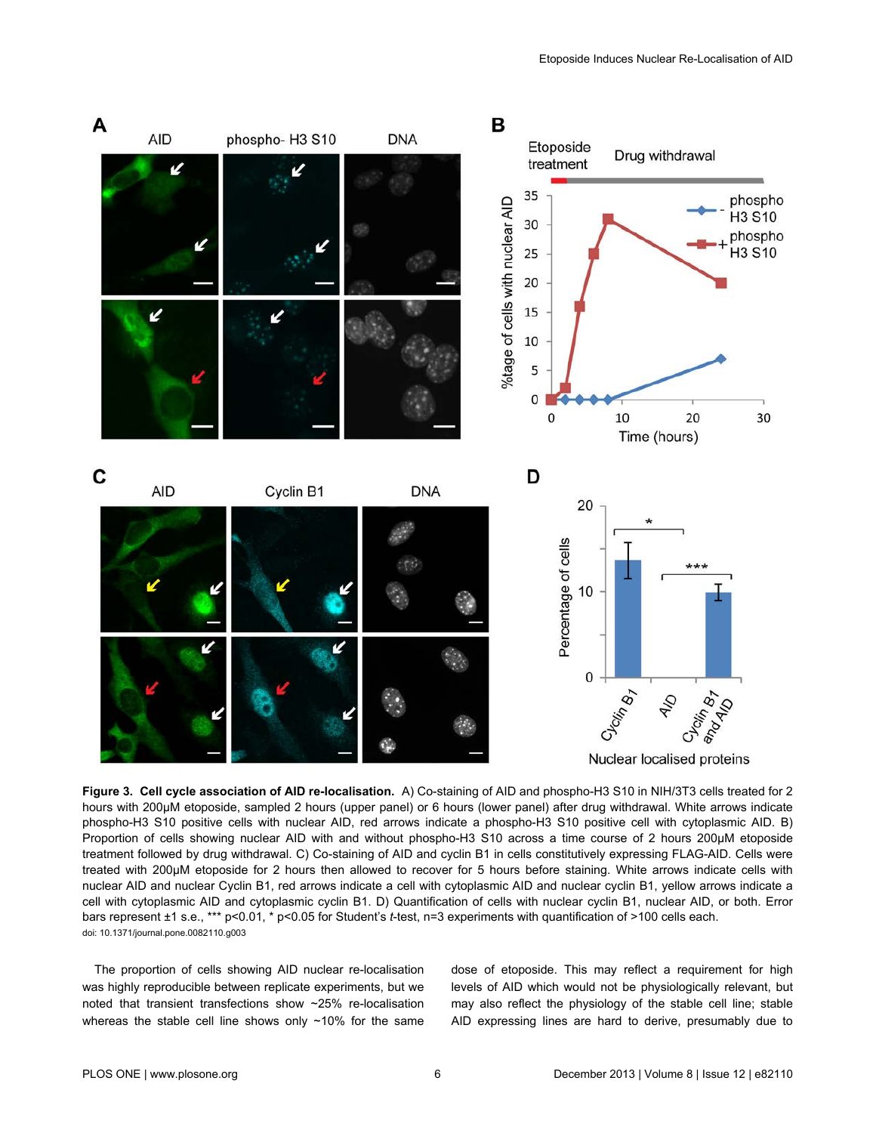<span id="page-5-0"></span>

**Figure 3. Cell cycle association of AID re-localisation.** A) Co-staining of AID and phospho-H3 S10 in NIH/3T3 cells treated for 2 hours with 200µM etoposide, sampled 2 hours (upper panel) or 6 hours (lower panel) after drug withdrawal. White arrows indicate phospho-H3 S10 positive cells with nuclear AID, red arrows indicate a phospho-H3 S10 positive cell with cytoplasmic AID. B) Proportion of cells showing nuclear AID with and without phospho-H3 S10 across a time course of 2 hours 200µM etoposide treatment followed by drug withdrawal. C) Co-staining of AID and cyclin B1 in cells constitutively expressing FLAG-AID. Cells were treated with 200µM etoposide for 2 hours then allowed to recover for 5 hours before staining. White arrows indicate cells with nuclear AID and nuclear Cyclin B1, red arrows indicate a cell with cytoplasmic AID and nuclear cyclin B1, yellow arrows indicate a cell with cytoplasmic AID and cytoplasmic cyclin B1. D) Quantification of cells with nuclear cyclin B1, nuclear AID, or both. Error bars represent ±1 s.e., \*\*\* p<0.01, \* p<0.05 for Student's *t*-test, n=3 experiments with quantification of >100 cells each. doi: 10.1371/journal.pone.0082110.g003

The proportion of cells showing AID nuclear re-localisation was highly reproducible between replicate experiments, but we noted that transient transfections show ~25% re-localisation whereas the stable cell line shows only ~10% for the same

dose of etoposide. This may reflect a requirement for high levels of AID which would not be physiologically relevant, but may also reflect the physiology of the stable cell line; stable AID expressing lines are hard to derive, presumably due to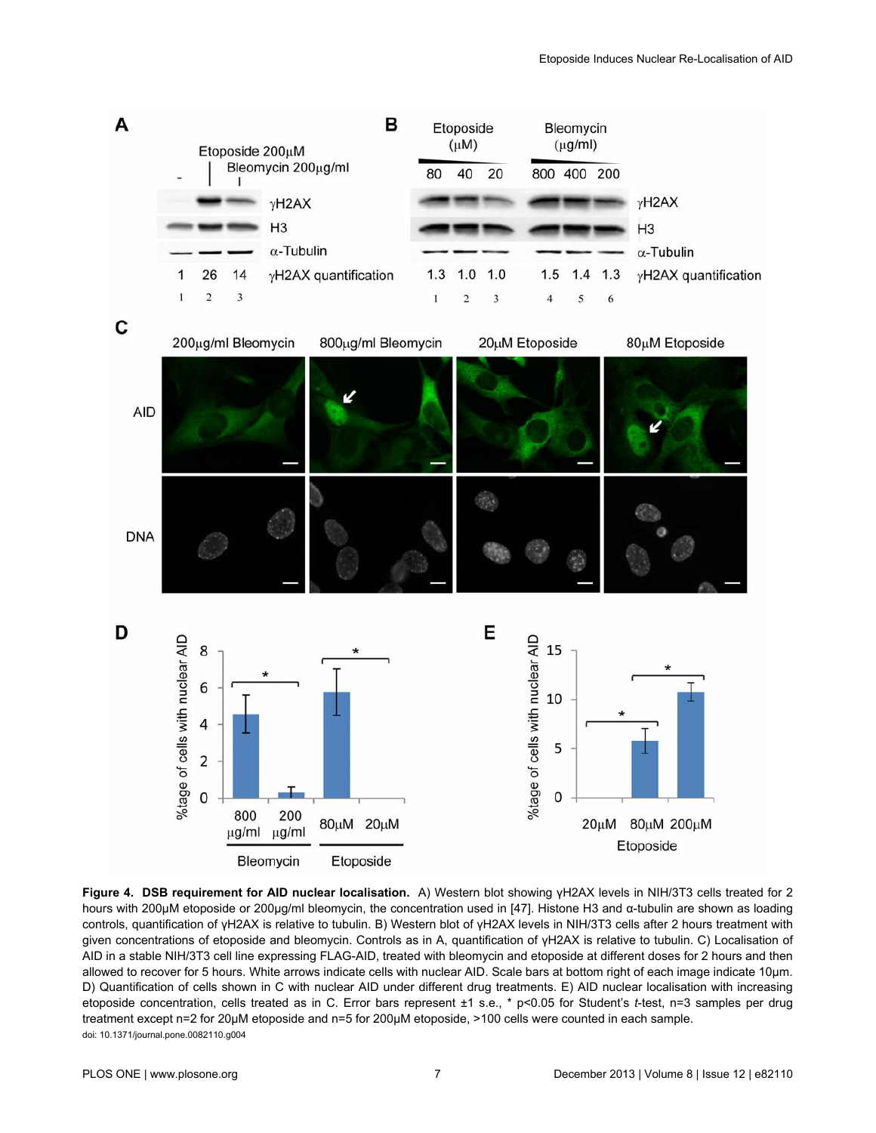<span id="page-6-0"></span>

**Figure 4. DSB requirement for AID nuclear localisation.** A) Western blot showing γH2AX levels in NIH/3T3 cells treated for 2 hours with 200µM etoposide or 200µg/ml bleomycin, the concentration used in [\[47\]](#page-9-0). Histone H3 and α-tubulin are shown as loading controls, quantification of γH2AX is relative to tubulin. B) Western blot of γH2AX levels in NIH/3T3 cells after 2 hours treatment with given concentrations of etoposide and bleomycin. Controls as in A, quantification of γH2AX is relative to tubulin. C) Localisation of AID in a stable NIH/3T3 cell line expressing FLAG-AID, treated with bleomycin and etoposide at different doses for 2 hours and then allowed to recover for 5 hours. White arrows indicate cells with nuclear AID. Scale bars at bottom right of each image indicate 10µm. D) Quantification of cells shown in C with nuclear AID under different drug treatments. E) AID nuclear localisation with increasing etoposide concentration, cells treated as in C. Error bars represent ±1 s.e., \* p<0.05 for Student's *t*-test, n=3 samples per drug treatment except n=2 for 20µM etoposide and n=5 for 200µM etoposide, >100 cells were counted in each sample. doi: 10.1371/journal.pone.0082110.g004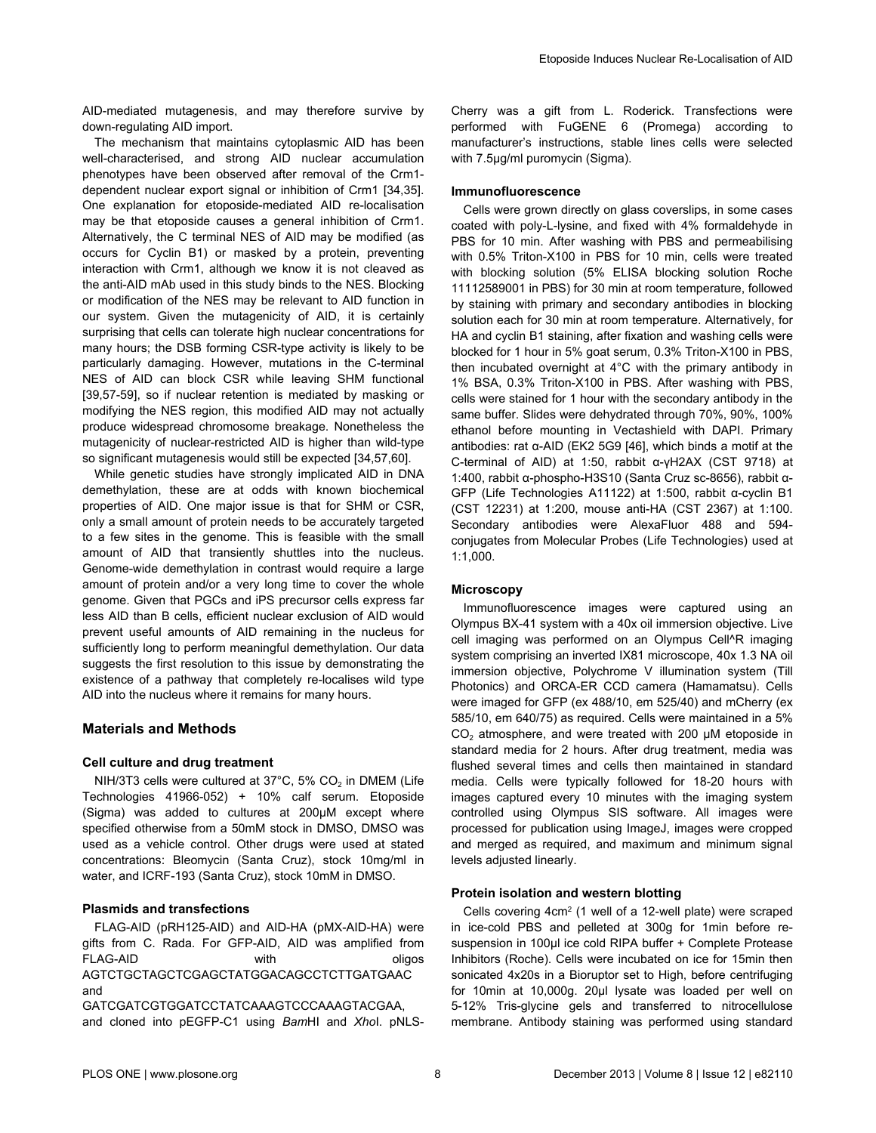AID-mediated mutagenesis, and may therefore survive by down-regulating AID import.

The mechanism that maintains cytoplasmic AID has been well-characterised, and strong AID nuclear accumulation phenotypes have been observed after removal of the Crm1 dependent nuclear export signal or inhibition of Crm1 [[34,35\]](#page-9-0). One explanation for etoposide-mediated AID re-localisation may be that etoposide causes a general inhibition of Crm1. Alternatively, the C terminal NES of AID may be modified (as occurs for Cyclin B1) or masked by a protein, preventing interaction with Crm1, although we know it is not cleaved as the anti-AID mAb used in this study binds to the NES. Blocking or modification of the NES may be relevant to AID function in our system. Given the mutagenicity of AID, it is certainly surprising that cells can tolerate high nuclear concentrations for many hours; the DSB forming CSR-type activity is likely to be particularly damaging. However, mutations in the C-terminal NES of AID can block CSR while leaving SHM functional [[39](#page-9-0),[57-59\]](#page-10-0), so if nuclear retention is mediated by masking or modifying the NES region, this modified AID may not actually produce widespread chromosome breakage. Nonetheless the mutagenicity of nuclear-restricted AID is higher than wild-type so significant mutagenesis would still be expected [[34](#page-9-0),[57](#page-10-0),[60\]](#page-10-0).

While genetic studies have strongly implicated AID in DNA demethylation, these are at odds with known biochemical properties of AID. One major issue is that for SHM or CSR, only a small amount of protein needs to be accurately targeted to a few sites in the genome. This is feasible with the small amount of AID that transiently shuttles into the nucleus. Genome-wide demethylation in contrast would require a large amount of protein and/or a very long time to cover the whole genome. Given that PGCs and iPS precursor cells express far less AID than B cells, efficient nuclear exclusion of AID would prevent useful amounts of AID remaining in the nucleus for sufficiently long to perform meaningful demethylation. Our data suggests the first resolution to this issue by demonstrating the existence of a pathway that completely re-localises wild type AID into the nucleus where it remains for many hours.

## **Materials and Methods**

## **Cell culture and drug treatment**

NIH/3T3 cells were cultured at 37°C, 5% CO<sub>2</sub> in DMEM (Life Technologies 41966-052) + 10% calf serum. Etoposide (Sigma) was added to cultures at 200µM except where specified otherwise from a 50mM stock in DMSO, DMSO was used as a vehicle control. Other drugs were used at stated concentrations: Bleomycin (Santa Cruz), stock 10mg/ml in water, and ICRF-193 (Santa Cruz), stock 10mM in DMSO.

## **Plasmids and transfections**

FLAG-AID (pRH125-AID) and AID-HA (pMX-AID-HA) were gifts from C. Rada. For GFP-AID, AID was amplified from FLAG-AID with with oligos AGTCTGCTAGCTCGAGCTATGGACAGCCTCTTGATGAAC and

GATCGATCGTGGATCCTATCAAAGTCCCAAAGTACGAA, and cloned into pEGFP-C1 using *Bam*HI and *Xho*I. pNLS-

Cherry was a gift from L. Roderick. Transfections were performed with FuGENE 6 (Promega) according to manufacturer's instructions, stable lines cells were selected with 7.5µg/ml puromycin (Sigma).

## **Immunofluorescence**

Cells were grown directly on glass coverslips, in some cases coated with poly-L-lysine, and fixed with 4% formaldehyde in PBS for 10 min. After washing with PBS and permeabilising with 0.5% Triton-X100 in PBS for 10 min, cells were treated with blocking solution (5% ELISA blocking solution Roche 11112589001 in PBS) for 30 min at room temperature, followed by staining with primary and secondary antibodies in blocking solution each for 30 min at room temperature. Alternatively, for HA and cyclin B1 staining, after fixation and washing cells were blocked for 1 hour in 5% goat serum, 0.3% Triton-X100 in PBS, then incubated overnight at 4°C with the primary antibody in 1% BSA, 0.3% Triton-X100 in PBS. After washing with PBS, cells were stained for 1 hour with the secondary antibody in the same buffer. Slides were dehydrated through 70%, 90%, 100% ethanol before mounting in Vectashield with DAPI. Primary antibodies: rat α-AID (EK2 5G9 [[46](#page-9-0)], which binds a motif at the C-terminal of AID) at 1:50, rabbit α-γH2AX (CST 9718) at 1:400, rabbit α-phospho-H3S10 (Santa Cruz sc-8656), rabbit α-GFP (Life Technologies A11122) at 1:500, rabbit α-cyclin B1 (CST 12231) at 1:200, mouse anti-HA (CST 2367) at 1:100. Secondary antibodies were AlexaFluor 488 and 594 conjugates from Molecular Probes (Life Technologies) used at 1:1,000.

## **Microscopy**

Immunofluorescence images were captured using an Olympus BX-41 system with a 40x oil immersion objective. Live cell imaging was performed on an Olympus Cell^R imaging system comprising an inverted IX81 microscope, 40x 1.3 NA oil immersion objective, Polychrome V illumination system (Till Photonics) and ORCA-ER CCD camera (Hamamatsu). Cells were imaged for GFP (ex 488/10, em 525/40) and mCherry (ex 585/10, em 640/75) as required. Cells were maintained in a 5%  $CO<sub>2</sub>$  atmosphere, and were treated with 200 µM etoposide in standard media for 2 hours. After drug treatment, media was flushed several times and cells then maintained in standard media. Cells were typically followed for 18-20 hours with images captured every 10 minutes with the imaging system controlled using Olympus SIS software. All images were processed for publication using ImageJ, images were cropped and merged as required, and maximum and minimum signal levels adjusted linearly.

## **Protein isolation and western blotting**

Cells covering 4cm<sup>2</sup> (1 well of a 12-well plate) were scraped in ice-cold PBS and pelleted at 300g for 1min before resuspension in 100µl ice cold RIPA buffer + Complete Protease Inhibitors (Roche). Cells were incubated on ice for 15min then sonicated 4x20s in a Bioruptor set to High, before centrifuging for 10min at 10,000g. 20µl lysate was loaded per well on 5-12% Tris-glycine gels and transferred to nitrocellulose membrane. Antibody staining was performed using standard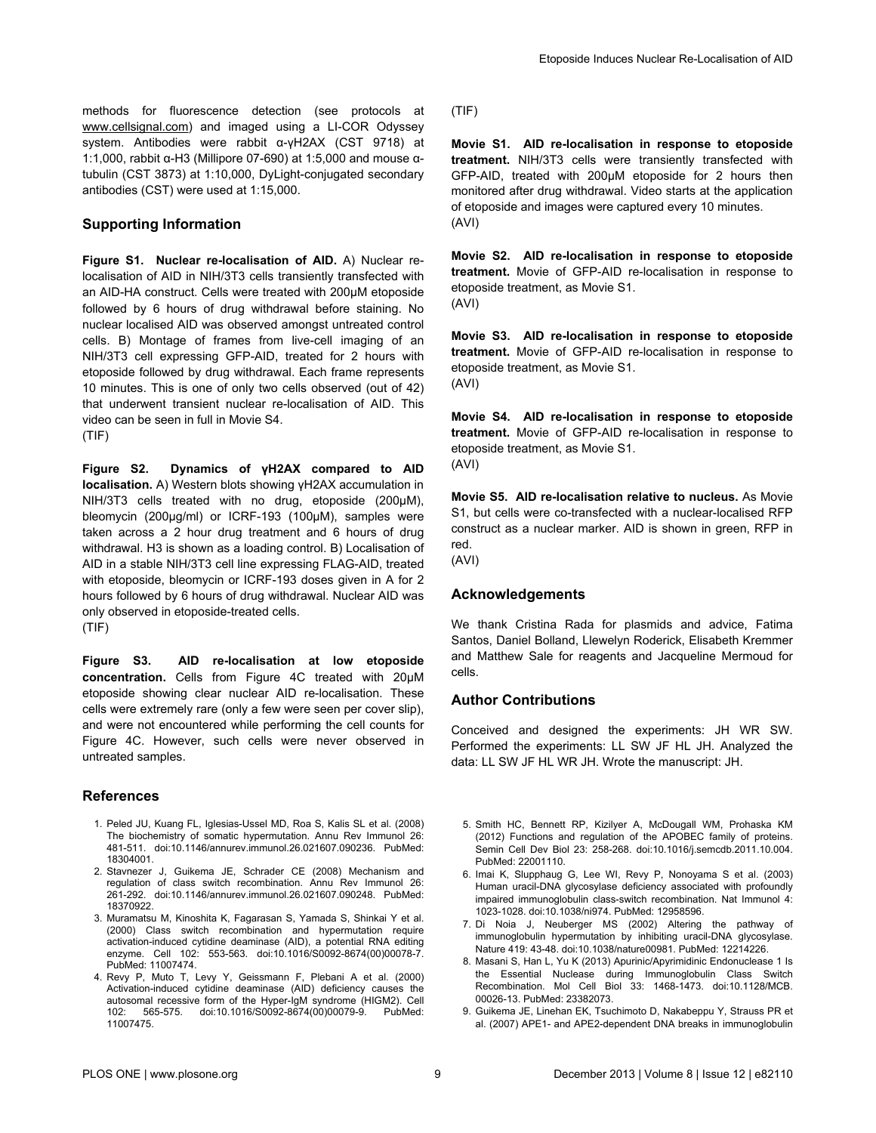<span id="page-8-0"></span>methods for fluorescence detection (see protocols at [www.cellsignal.com\)](http://www.cellsignal.com) and imaged using a LI-COR Odyssey system. Antibodies were rabbit α-γH2AX (CST 9718) at 1:1,000, rabbit α-H3 (Millipore 07-690) at 1:5,000 and mouse αtubulin (CST 3873) at 1:10,000, DyLight-conjugated secondary antibodies (CST) were used at 1:15,000.

## **Supporting Information**

**Figure S1. Nuclear re-localisation of AID.** A) Nuclear relocalisation of AID in NIH/3T3 cells transiently transfected with an AID-HA construct. Cells were treated with 200µM etoposide followed by 6 hours of drug withdrawal before staining. No nuclear localised AID was observed amongst untreated control cells. B) Montage of frames from live-cell imaging of an NIH/3T3 cell expressing GFP-AID, treated for 2 hours with etoposide followed by drug withdrawal. Each frame represents 10 minutes. This is one of only two cells observed (out of 42) that underwent transient nuclear re-localisation of AID. This video can be seen in full in Movie S4.

(TIF)

**Figure S2. Dynamics of γH2AX compared to AID localisation.** A) Western blots showing γH2AX accumulation in NIH/3T3 cells treated with no drug, etoposide (200µM), bleomycin (200µg/ml) or ICRF-193 (100µM), samples were taken across a 2 hour drug treatment and 6 hours of drug withdrawal. H3 is shown as a loading control. B) Localisation of AID in a stable NIH/3T3 cell line expressing FLAG-AID, treated with etoposide, bleomycin or ICRF-193 doses given in A for 2 hours followed by 6 hours of drug withdrawal. Nuclear AID was only observed in etoposide-treated cells.

(TIF)

**Figure S3. AID re-localisation at low etoposide concentration.** Cells from [Figure 4C](#page-6-0) treated with 20µM etoposide showing clear nuclear AID re-localisation. These cells were extremely rare (only a few were seen per cover slip), and were not encountered while performing the cell counts for [Figure 4C.](#page-6-0) However, such cells were never observed in untreated samples.

## **References**

- 1. Peled JU, Kuang FL, Iglesias-Ussel MD, Roa S, Kalis SL et al. (2008) The biochemistry of somatic hypermutation. Annu Rev Immunol 26: 481-511. doi[:10.1146/annurev.immunol.26.021607.090236.](http://dx.doi.org/10.1146/annurev.immunol.26.021607.090236) PubMed: [18304001.](http://www.ncbi.nlm.nih.gov/pubmed/18304001)
- 2. Stavnezer J, Guikema JE, Schrader CE (2008) Mechanism and regulation of class switch recombination. Annu Rev Immunol 26: 261-292. doi[:10.1146/annurev.immunol.26.021607.090248.](http://dx.doi.org/10.1146/annurev.immunol.26.021607.090248) PubMed: [18370922.](http://www.ncbi.nlm.nih.gov/pubmed/18370922)
- 3. Muramatsu M, Kinoshita K, Fagarasan S, Yamada S, Shinkai Y et al. (2000) Class switch recombination and hypermutation require activation-induced cytidine deaminase (AID), a potential RNA editing enzyme. Cell 102: 553-563. doi[:10.1016/S0092-8674\(00\)00078-7.](http://dx.doi.org/10.1016/S0092-8674(00)00078-7) PubMed: [11007474.](http://www.ncbi.nlm.nih.gov/pubmed/11007474)
- 4. Revy P, Muto T, Levy Y, Geissmann F, Plebani A et al. (2000) Activation-induced cytidine deaminase (AID) deficiency causes the autosomal recessive form of the Hyper-IgM syndrome (HIGM2). Cell<br>102: 565-575 doi:10.1016/S0092-8674/00)00079-9 PubMed: 102: 565-575. doi[:10.1016/S0092-8674\(00\)00079-9.](http://dx.doi.org/10.1016/S0092-8674(00)00079-9) PubMed: [11007475.](http://www.ncbi.nlm.nih.gov/pubmed/11007475)

(TIF)

**Movie S1. AID re-localisation in response to etoposide treatment.** NIH/3T3 cells were transiently transfected with GFP-AID, treated with 200µM etoposide for 2 hours then monitored after drug withdrawal. Video starts at the application of etoposide and images were captured every 10 minutes. (AVI)

**Movie S2. AID re-localisation in response to etoposide treatment.** Movie of GFP-AID re-localisation in response to etoposide treatment, as Movie S1. (AVI)

**Movie S3. AID re-localisation in response to etoposide treatment.** Movie of GFP-AID re-localisation in response to etoposide treatment, as Movie S1. (AVI)

**Movie S4. AID re-localisation in response to etoposide treatment.** Movie of GFP-AID re-localisation in response to etoposide treatment, as Movie S1. (AVI)

**Movie S5. AID re-localisation relative to nucleus.** As Movie S1, but cells were co-transfected with a nuclear-localised RFP construct as a nuclear marker. AID is shown in green, RFP in red.

(AVI)

## **Acknowledgements**

We thank Cristina Rada for plasmids and advice, Fatima Santos, Daniel Bolland, Llewelyn Roderick, Elisabeth Kremmer and Matthew Sale for reagents and Jacqueline Mermoud for cells.

## **Author Contributions**

Conceived and designed the experiments: JH WR SW. Performed the experiments: LL SW JF HL JH. Analyzed the data: LL SW JF HL WR JH. Wrote the manuscript: JH.

- 5. Smith HC, Bennett RP, Kizilyer A, McDougall WM, Prohaska KM (2012) Functions and regulation of the APOBEC family of proteins. Semin Cell Dev Biol 23: 258-268. doi[:10.1016/j.semcdb.2011.10.004](http://dx.doi.org/10.1016/j.semcdb.2011.10.004). PubMed: [22001110.](http://www.ncbi.nlm.nih.gov/pubmed/22001110)
- 6. Imai K, Slupphaug G, Lee WI, Revy P, Nonoyama S et al. (2003) Human uracil-DNA glycosylase deficiency associated with profoundly impaired immunoglobulin class-switch recombination. Nat Immunol 4: 1023-1028. doi[:10.1038/ni974.](http://dx.doi.org/10.1038/ni974) PubMed: [12958596.](http://www.ncbi.nlm.nih.gov/pubmed/12958596)
- 7. Di Noia J, Neuberger MS (2002) Altering the pathway of immunoglobulin hypermutation by inhibiting uracil-DNA glycosylase. Nature 419: 43-48. doi[:10.1038/nature00981.](http://dx.doi.org/10.1038/nature00981) PubMed: [12214226.](http://www.ncbi.nlm.nih.gov/pubmed/12214226)
- 8. Masani S, Han L, Yu K (2013) Apurinic/Apyrimidinic Endonuclease 1 Is the Essential Nuclease during Immunoglobulin Class Switch Recombination. Mol Cell Biol 33: 1468-1473. doi:[10.1128/MCB.](http://dx.doi.org/10.1128/MCB.00026-13) [00026-13](http://dx.doi.org/10.1128/MCB.00026-13). PubMed: [23382073](http://www.ncbi.nlm.nih.gov/pubmed/23382073).
- 9. Guikema JE, Linehan EK, Tsuchimoto D, Nakabeppu Y, Strauss PR et al. (2007) APE1- and APE2-dependent DNA breaks in immunoglobulin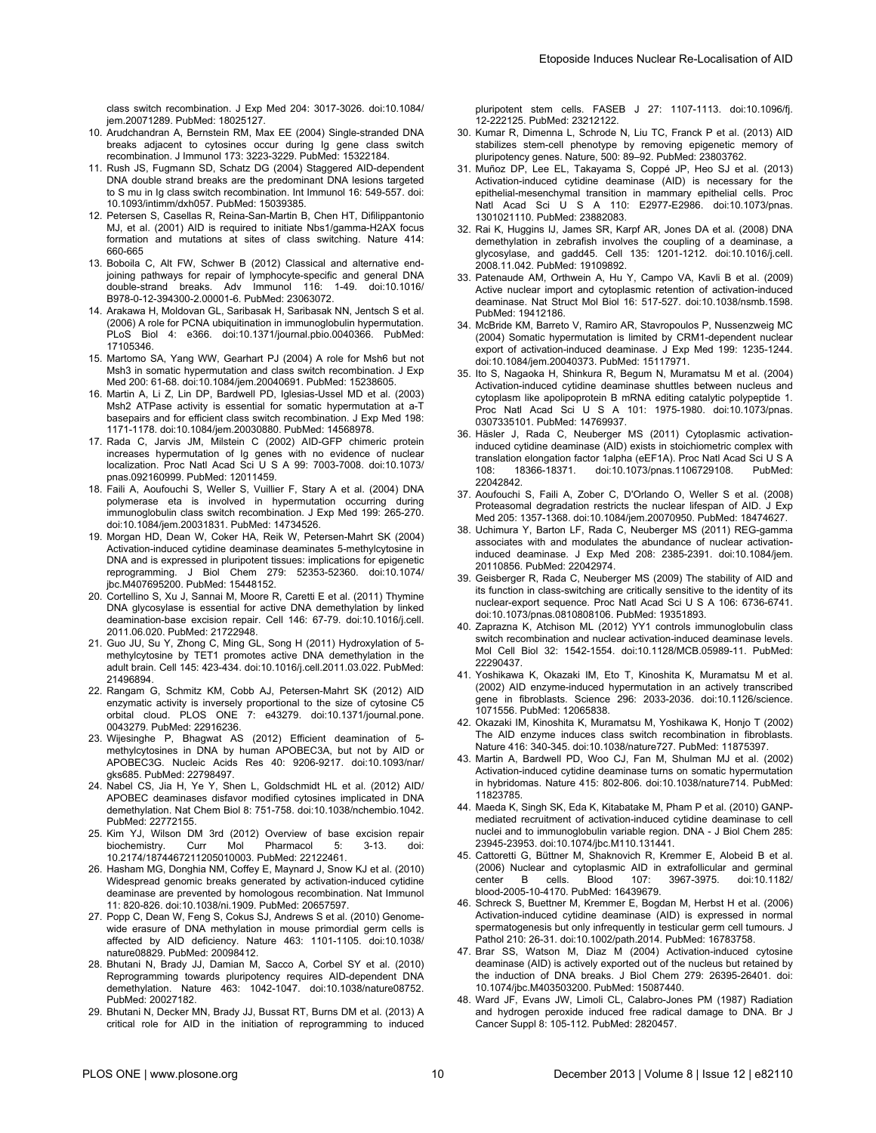<span id="page-9-0"></span>class switch recombination. J Exp Med 204: 3017-3026. doi[:10.1084/](http://dx.doi.org/10.1084/jem.20071289) [jem.20071289.](http://dx.doi.org/10.1084/jem.20071289) PubMed: [18025127.](http://www.ncbi.nlm.nih.gov/pubmed/18025127)

- 10. Arudchandran A, Bernstein RM, Max EE (2004) Single-stranded DNA breaks adjacent to cytosines occur during Ig gene class switch recombination. J Immunol 173: 3223-3229. PubMed: [15322184.](http://www.ncbi.nlm.nih.gov/pubmed/15322184)
- 11. Rush JS, Fugmann SD, Schatz DG (2004) Staggered AID-dependent DNA double strand breaks are the predominant DNA lesions targeted to S mu in Ig class switch recombination. Int Immunol 16: 549-557. doi: [10.1093/intimm/dxh057](http://dx.doi.org/10.1093/intimm/dxh057). PubMed: [15039385](http://www.ncbi.nlm.nih.gov/pubmed/15039385).
- 12. Petersen S, Casellas R, Reina-San-Martin B, Chen HT, Difilippantonio MJ, et al. (2001) AID is required to initiate Nbs1/gamma-H2AX focus formation and mutations at sites of class switching. Nature 414: 660-665
- 13. Boboila C, Alt FW, Schwer B (2012) Classical and alternative endjoining pathways for repair of lymphocyte-specific and general DNA double-strand breaks. Adv Immunol 116: 1-49. doi[:10.1016/](http://dx.doi.org/10.1016/B978-0-12-394300-2.00001-6) [B978-0-12-394300-2.00001-6.](http://dx.doi.org/10.1016/B978-0-12-394300-2.00001-6) PubMed: [23063072.](http://www.ncbi.nlm.nih.gov/pubmed/23063072)
- 14. Arakawa H, Moldovan GL, Saribasak H, Saribasak NN, Jentsch S et al. (2006) A role for PCNA ubiquitination in immunoglobulin hypermutation. PLoS Biol 4: e366. doi:[10.1371/journal.pbio.0040366](http://dx.doi.org/10.1371/journal.pbio.0040366). PubMed: [17105346.](http://www.ncbi.nlm.nih.gov/pubmed/17105346)
- 15. Martomo SA, Yang WW, Gearhart PJ (2004) A role for Msh6 but not Msh3 in somatic hypermutation and class switch recombination. J Exp Med 200: 61-68. doi:[10.1084/jem.20040691](http://dx.doi.org/10.1084/jem.20040691). PubMed: [15238605](http://www.ncbi.nlm.nih.gov/pubmed/15238605).
- 16. Martin A, Li Z, Lin DP, Bardwell PD, Iglesias-Ussel MD et al. (2003) Msh2 ATPase activity is essential for somatic hypermutation at a-T basepairs and for efficient class switch recombination. J Exp Med 198: 1171-1178. doi[:10.1084/jem.20030880.](http://dx.doi.org/10.1084/jem.20030880) PubMed: [14568978.](http://www.ncbi.nlm.nih.gov/pubmed/14568978)
- 17. Rada C, Jarvis JM, Milstein C (2002) AID-GFP chimeric protein increases hypermutation of Ig genes with no evidence of nuclear localization. Proc Natl Acad Sci U S A 99: 7003-7008. doi[:10.1073/](http://dx.doi.org/10.1073/pnas.092160999) [pnas.092160999.](http://dx.doi.org/10.1073/pnas.092160999) PubMed: [12011459.](http://www.ncbi.nlm.nih.gov/pubmed/12011459)
- 18. Faili A, Aoufouchi S, Weller S, Vuillier F, Stary A et al. (2004) DNA polymerase eta is involved in hypermutation occurring during immunoglobulin class switch recombination. J Exp Med 199: 265-270. doi:[10.1084/jem.20031831.](http://dx.doi.org/10.1084/jem.20031831) PubMed: [14734526](http://www.ncbi.nlm.nih.gov/pubmed/14734526).
- 19. Morgan HD, Dean W, Coker HA, Reik W, Petersen-Mahrt SK (2004) Activation-induced cytidine deaminase deaminates 5-methylcytosine in DNA and is expressed in pluripotent tissues: implications for epigenetic reprogramming. J Biol Chem 279: 52353-52360. doi[:10.1074/](http://dx.doi.org/10.1074/jbc.M407695200) [jbc.M407695200](http://dx.doi.org/10.1074/jbc.M407695200). PubMed: [15448152](http://www.ncbi.nlm.nih.gov/pubmed/15448152).
- 20. Cortellino S, Xu J, Sannai M, Moore R, Caretti E et al. (2011) Thymine DNA glycosylase is essential for active DNA demethylation by linked deamination-base excision repair. Cell 146: 67-79. doi[:10.1016/j.cell.](http://dx.doi.org/10.1016/j.cell.2011.06.020) [2011.06.020.](http://dx.doi.org/10.1016/j.cell.2011.06.020) PubMed: [21722948.](http://www.ncbi.nlm.nih.gov/pubmed/21722948)
- 21. Guo JU, Su Y, Zhong C, Ming GL, Song H (2011) Hydroxylation of 5 methylcytosine by TET1 promotes active DNA demethylation in the adult brain. Cell 145: 423-434. doi[:10.1016/j.cell.2011.03.022](http://dx.doi.org/10.1016/j.cell.2011.03.022). PubMed: [21496894.](http://www.ncbi.nlm.nih.gov/pubmed/21496894)
- 22. Rangam G, Schmitz KM, Cobb AJ, Petersen-Mahrt SK (2012) AID enzymatic activity is inversely proportional to the size of cytosine C5 orbital cloud. PLOS ONE 7: e43279. doi:[10.1371/journal.pone.](http://dx.doi.org/10.1371/journal.pone.0043279) [0043279.](http://dx.doi.org/10.1371/journal.pone.0043279) PubMed: [22916236.](http://www.ncbi.nlm.nih.gov/pubmed/22916236)
- 23. Wijesinghe P, Bhagwat AS (2012) Efficient deamination of 5 methylcytosines in DNA by human APOBEC3A, but not by AID or APOBEC3G. Nucleic Acids Res 40: 9206-9217. doi[:10.1093/nar/](http://dx.doi.org/10.1093/nar/gks685) [gks685](http://dx.doi.org/10.1093/nar/gks685). PubMed: [22798497](http://www.ncbi.nlm.nih.gov/pubmed/22798497).
- 24. Nabel CS, Jia H, Ye Y, Shen L, Goldschmidt HL et al. (2012) AID/ APOBEC deaminases disfavor modified cytosines implicated in DNA demethylation. Nat Chem Biol 8: 751-758. doi[:10.1038/nchembio.1042.](http://dx.doi.org/10.1038/nchembio.1042) PubMed: [22772155.](http://www.ncbi.nlm.nih.gov/pubmed/22772155)
- 25. Kim YJ, Wilson DM 3rd (2012) Overview of base excision repair biochemistry. Curr Mol Pharmacol 5: 3-13. doi: [10.2174/1874467211205010003.](http://dx.doi.org/10.2174/1874467211205010003) PubMed: [22122461.](http://www.ncbi.nlm.nih.gov/pubmed/22122461)
- 26. Hasham MG, Donghia NM, Coffey E, Maynard J, Snow KJ et al. (2010) Widespread genomic breaks generated by activation-induced cytidine deaminase are prevented by homologous recombination. Nat Immunol 11: 820-826. doi[:10.1038/ni.1909](http://dx.doi.org/10.1038/ni.1909). PubMed: [20657597](http://www.ncbi.nlm.nih.gov/pubmed/20657597).
- 27. Popp C, Dean W, Feng S, Cokus SJ, Andrews S et al. (2010) Genomewide erasure of DNA methylation in mouse primordial germ cells is affected by AID deficiency. Nature 463: 1101-1105. doi[:10.1038/](http://dx.doi.org/10.1038/nature08829) [nature08829.](http://dx.doi.org/10.1038/nature08829) PubMed: [20098412.](http://www.ncbi.nlm.nih.gov/pubmed/20098412)
- 28. Bhutani N, Brady JJ, Damian M, Sacco A, Corbel SY et al. (2010) Reprogramming towards pluripotency requires AID-dependent DNA demethylation. Nature 463: 1042-1047. doi:[10.1038/nature08752.](http://dx.doi.org/10.1038/nature08752) PubMed: [20027182.](http://www.ncbi.nlm.nih.gov/pubmed/20027182)
- 29. Bhutani N, Decker MN, Brady JJ, Bussat RT, Burns DM et al. (2013) A critical role for AID in the initiation of reprogramming to induced

pluripotent stem cells. FASEB J 27: 1107-1113. doi:[10.1096/fj.](http://dx.doi.org/10.1096/fj.12-222125) [12-222125.](http://dx.doi.org/10.1096/fj.12-222125) PubMed: [23212122.](http://www.ncbi.nlm.nih.gov/pubmed/23212122)

- 30. Kumar R, Dimenna L, Schrode N, Liu TC, Franck P et al. (2013) AID stabilizes stem-cell phenotype by removing epigenetic memory of pluripotency genes. Nature, 500: 89–92. PubMed: [23803762](http://www.ncbi.nlm.nih.gov/pubmed/23803762).
- 31. Muñoz DP, Lee EL, Takayama S, Coppé JP, Heo SJ et al. (2013) Activation-induced cytidine deaminase (AID) is necessary for the epithelial-mesenchymal transition in mammary epithelial cells. Proc Natl Acad Sci U S A 110: E2977-E2986. doi[:10.1073/pnas.](http://dx.doi.org/10.1073/pnas.1301021110) [1301021110](http://dx.doi.org/10.1073/pnas.1301021110). PubMed: [23882083](http://www.ncbi.nlm.nih.gov/pubmed/23882083).
- 32. Rai K, Huggins IJ, James SR, Karpf AR, Jones DA et al. (2008) DNA demethylation in zebrafish involves the coupling of a deaminase, a glycosylase, and gadd45. Cell 135: 1201-1212. doi[:10.1016/j.cell.](http://dx.doi.org/10.1016/j.cell.2008.11.042) [2008.11.042](http://dx.doi.org/10.1016/j.cell.2008.11.042). PubMed: [19109892](http://www.ncbi.nlm.nih.gov/pubmed/19109892).
- 33. Patenaude AM, Orthwein A, Hu Y, Campo VA, Kavli B et al. (2009) Active nuclear import and cytoplasmic retention of activation-induced deaminase. Nat Struct Mol Biol 16: 517-527. doi:[10.1038/nsmb.1598](http://dx.doi.org/10.1038/nsmb.1598). PubMed: [19412186.](http://www.ncbi.nlm.nih.gov/pubmed/19412186)
- 34. McBride KM, Barreto V, Ramiro AR, Stavropoulos P, Nussenzweig MC (2004) Somatic hypermutation is limited by CRM1-dependent nuclear export of activation-induced deaminase. J Exp Med 199: 1235-1244. doi:[10.1084/jem.20040373](http://dx.doi.org/10.1084/jem.20040373). PubMed: [15117971](http://www.ncbi.nlm.nih.gov/pubmed/15117971).
- 35. Ito S, Nagaoka H, Shinkura R, Begum N, Muramatsu M et al. (2004) Activation-induced cytidine deaminase shuttles between nucleus and cytoplasm like apolipoprotein B mRNA editing catalytic polypeptide 1. Proc Natl Acad Sci U S A 101: 1975-1980. doi:[10.1073/pnas.](http://dx.doi.org/10.1073/pnas.0307335101) [0307335101](http://dx.doi.org/10.1073/pnas.0307335101). PubMed: [14769937](http://www.ncbi.nlm.nih.gov/pubmed/14769937).
- 36. Häsler J, Rada C, Neuberger MS (2011) Cytoplasmic activationinduced cytidine deaminase (AID) exists in stoichiometric complex with translation elongation factor 1alpha (eEF1A). Proc Natl Acad Sci U S A<br>108: 18366-18371. doi:10.1073/pnas.1106729108. PubMed: doi:[10.1073/pnas.1106729108.](http://dx.doi.org/10.1073/pnas.1106729108) PubMed: [22042842.](http://www.ncbi.nlm.nih.gov/pubmed/22042842)
- 37. Aoufouchi S, Faili A, Zober C, D'Orlando O, Weller S et al. (2008) Proteasomal degradation restricts the nuclear lifespan of AID. J Exp Med 205: 1357-1368. doi[:10.1084/jem.20070950.](http://dx.doi.org/10.1084/jem.20070950) PubMed: [18474627.](http://www.ncbi.nlm.nih.gov/pubmed/18474627)
- 38. Uchimura Y, Barton LF, Rada C, Neuberger MS (2011) REG-gamma associates with and modulates the abundance of nuclear activationinduced deaminase. J Exp Med 208: 2385-2391. doi:[10.1084/jem.](http://dx.doi.org/10.1084/jem.20110856) [20110856.](http://dx.doi.org/10.1084/jem.20110856) PubMed: [22042974.](http://www.ncbi.nlm.nih.gov/pubmed/22042974)
- 39. Geisberger R, Rada C, Neuberger MS (2009) The stability of AID and its function in class-switching are critically sensitive to the identity of its nuclear-export sequence. Proc Natl Acad Sci U S A 106: 6736-6741. doi:[10.1073/pnas.0810808106](http://dx.doi.org/10.1073/pnas.0810808106). PubMed: [19351893](http://www.ncbi.nlm.nih.gov/pubmed/19351893).
- 40. Zaprazna K, Atchison ML (2012) YY1 controls immunoglobulin class switch recombination and nuclear activation-induced deaminase levels. Mol Cell Biol 32: 1542-1554. doi:[10.1128/MCB.05989-11](http://dx.doi.org/10.1128/MCB.05989-11). PubMed: [22290437.](http://www.ncbi.nlm.nih.gov/pubmed/22290437)
- 41. Yoshikawa K, Okazaki IM, Eto T, Kinoshita K, Muramatsu M et al. (2002) AID enzyme-induced hypermutation in an actively transcribed gene in fibroblasts. Science 296: 2033-2036. doi[:10.1126/science.](http://dx.doi.org/10.1126/science.1071556) [1071556.](http://dx.doi.org/10.1126/science.1071556) PubMed: [12065838.](http://www.ncbi.nlm.nih.gov/pubmed/12065838)
- 42. Okazaki IM, Kinoshita K, Muramatsu M, Yoshikawa K, Honjo T (2002) The AID enzyme induces class switch recombination in fibroblasts. Nature 416: 340-345. doi:[10.1038/nature727.](http://dx.doi.org/10.1038/nature727) PubMed: [11875397.](http://www.ncbi.nlm.nih.gov/pubmed/11875397)
- 43. Martin A, Bardwell PD, Woo CJ, Fan M, Shulman MJ et al. (2002) Activation-induced cytidine deaminase turns on somatic hypermutation in hybridomas. Nature 415: 802-806. doi:[10.1038/nature714.](http://dx.doi.org/10.1038/nature714) PubMed: [11823785.](http://www.ncbi.nlm.nih.gov/pubmed/11823785)
- 44. Maeda K, Singh SK, Eda K, Kitabatake M, Pham P et al. (2010) GANPmediated recruitment of activation-induced cytidine deaminase to cell nuclei and to immunoglobulin variable region. DNA - J Biol Chem 285: 23945-23953. doi:[10.1074/jbc.M110.131441.](http://dx.doi.org/10.1074/jbc.M110.131441)
- 45. Cattoretti G, Büttner M, Shaknovich R, Kremmer E, Alobeid B et al. (2006) Nuclear and cytoplasmic AID in extrafollicular and germinal center B cells. Blood 107: 3967-3975. doi[:10.1182/](http://dx.doi.org/10.1182/blood-2005-10-4170) [blood-2005-10-4170.](http://dx.doi.org/10.1182/blood-2005-10-4170) PubMed: [16439679.](http://www.ncbi.nlm.nih.gov/pubmed/16439679)
- 46. Schreck S, Buettner M, Kremmer E, Bogdan M, Herbst H et al. (2006) Activation-induced cytidine deaminase (AID) is expressed in normal spermatogenesis but only infrequently in testicular germ cell tumours. J Pathol 210: 26-31. doi:[10.1002/path.2014](http://dx.doi.org/10.1002/path.2014). PubMed: [16783758](http://www.ncbi.nlm.nih.gov/pubmed/16783758).
- 47. Brar SS, Watson M, Diaz M (2004) Activation-induced cytosine deaminase (AID) is actively exported out of the nucleus but retained by the induction of DNA breaks. J Biol Chem 279: 26395-26401. doi: [10.1074/jbc.M403503200.](http://dx.doi.org/10.1074/jbc.M403503200) PubMed: [15087440.](http://www.ncbi.nlm.nih.gov/pubmed/15087440)
- 48. Ward JF, Evans JW, Limoli CL, Calabro-Jones PM (1987) Radiation and hydrogen peroxide induced free radical damage to DNA. Br J Cancer Suppl 8: 105-112. PubMed: [2820457](http://www.ncbi.nlm.nih.gov/pubmed/2820457).